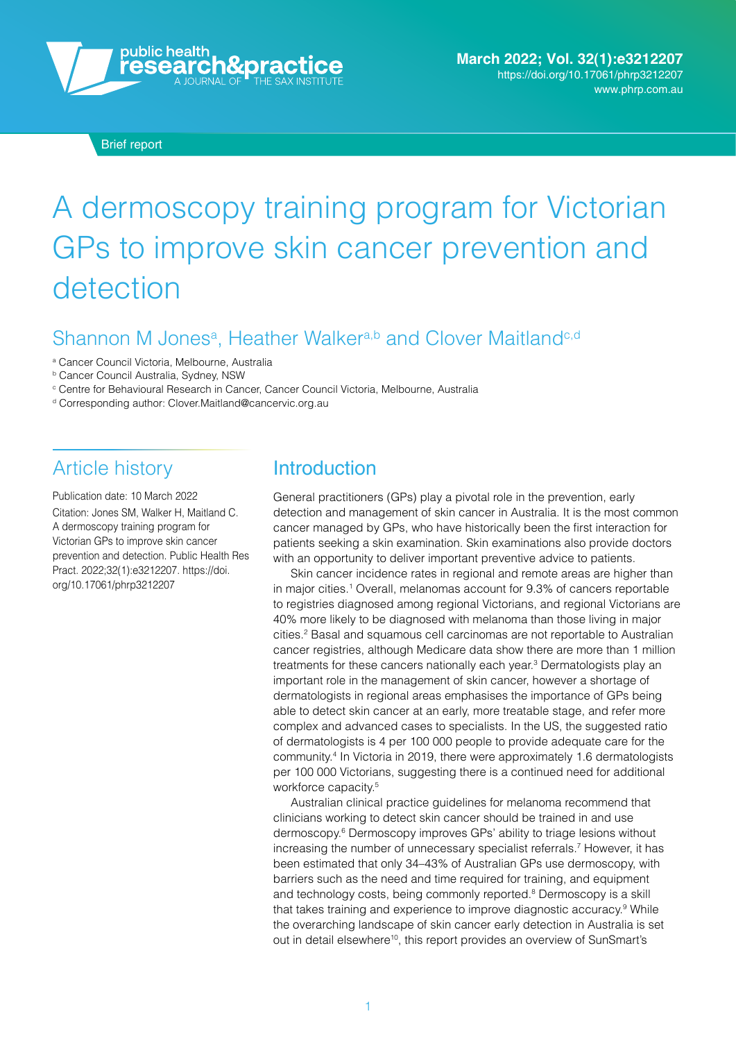

Brief report

# A dermoscopy training program for Victorian GPs to improve skin cancer prevention and detection

#### Shannon M Jones<sup>a</sup>, Heather Walker<sup>a,b</sup> and Clover Maitland<sup>e,d</sup>

a Cancer Council Victoria, Melbourne, Australia

**b Cancer Council Australia, Sydney, NSW** 

 $^\circ$  Centre for Behavioural Research in Cancer, Cancer Council Victoria, Melbourne, Australia

d Corresponding author: [Clover.Maitland@cancervic.org.au](mailto:Clover.Maitland@cancervic.org.au) 

#### Article history

Publication date: 10 March 2022 Citation: Jones SM, Walker H, Maitland C. A dermoscopy training program for Victorian GPs to improve skin cancer prevention and detection. Public Health Res Pract. 2022;32(1):e3212207. [https://doi.](https://doi.org/10.17061/phrp3212207) [org/10.17061/phrp3212207](https://doi.org/10.17061/phrp3212207) 

#### Introduction

General practitioners (GPs) play a pivotal role in the prevention, early detection and management of skin cancer in Australia. It is the most common cancer managed by GPs, who have historically been the first interaction for patients seeking a skin examination. Skin examinations also provide doctors with an opportunity to deliver important preventive advice to patients.

Skin cancer incidence rates in regional and remote areas are higher than in major cities.<sup>1</sup> Overall, melanomas account for 9.3% of cancers reportable to registries diagnosed among regional Victorians, and regional Victorians are 40% more likely to be diagnosed with melanoma than those living in major cities.2 Basal and squamous cell carcinomas are not reportable to Australian cancer registries, although Medicare data show there are more than 1 million treatments for these cancers nationally each year.<sup>3</sup> Dermatologists play an important role in the management of skin cancer, however a shortage of dermatologists in regional areas emphasises the importance of GPs being able to detect skin cancer at an early, more treatable stage, and refer more complex and advanced cases to specialists. In the US, the suggested ratio of dermatologists is 4 per 100 000 people to provide adequate care for the community. 4 In Victoria in 2019, there were approximately 1.6 dermatologists per 100 000 Victorians, suggesting there is a continued need for additional workforce capacity.<sup>5</sup>

Australian clinical practice guidelines for melanoma recommend that clinicians working to detect skin cancer should be trained in and use dermoscopy.6 Dermoscopy improves GPs' ability to triage lesions without increasing the number of unnecessary specialist referrals.7 However, it has been estimated that only 34–43% of Australian GPs use dermoscopy, with barriers such as the need and time required for training, and equipment and technology costs, being commonly reported.<sup>8</sup> Dermoscopy is a skill that takes training and experience to improve diagnostic accuracy.<sup>9</sup> While the overarching landscape of skin cancer early detection in Australia is set out in detail elsewhere<sup>10</sup>, this report provides an overview of SunSmart's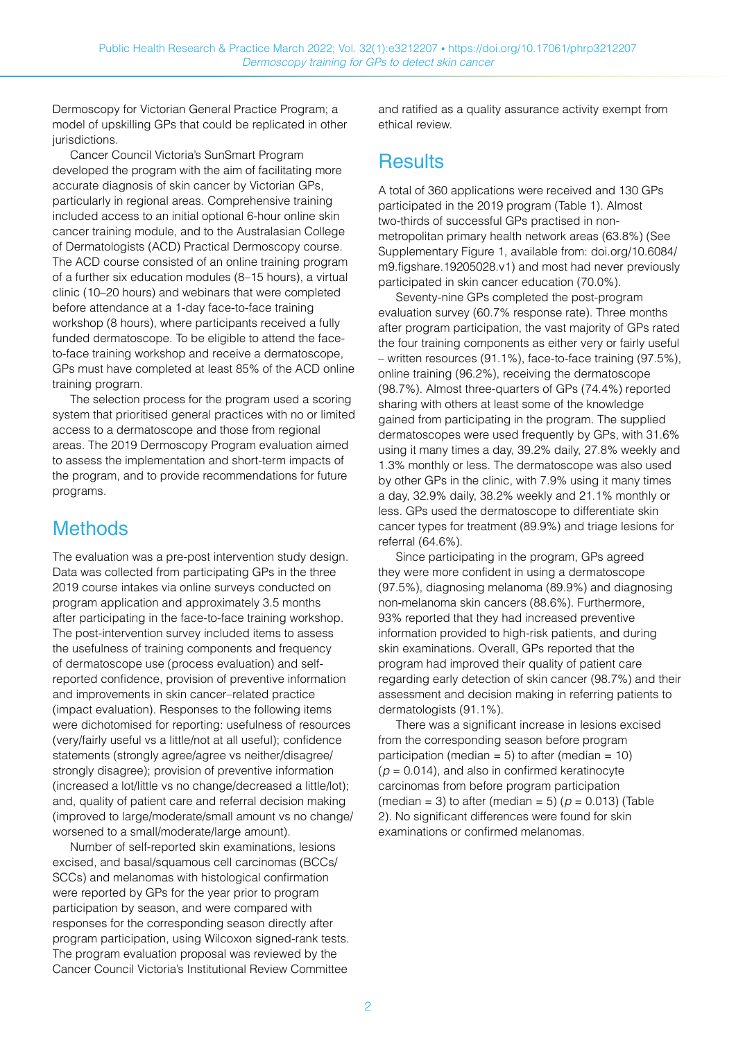Dermoscopy for Victorian General Practice Program; a model of upskilling GPs that could be replicated in other jurisdictions.

Cancer Council Victoria's SunSmart Program developed the program with the aim of facilitating more accurate diagnosis of skin cancer by Victorian GPs, particularly in regional areas. Comprehensive training included access to an initial optional 6-hour online skin cancer training module, and to the Australasian College of Dermatologists (ACD) Practical Dermoscopy course. The ACD course consisted of an online training program of a further six education modules (8–15 hours), a virtual clinic (10–20 hours) and webinars that were completed before attendance at a 1-day face-to-face training workshop (8 hours), where participants received a fully funded dermatoscope. To be eligible to attend the faceto-face training workshop and receive a dermatoscope, GPs must have completed at least 85% of the ACD online training program.

The selection process for the program used a scoring system that prioritised general practices with no or limited access to a dermatoscope and those from regional areas. The 2019 Dermoscopy Program evaluation aimed to assess the implementation and short-term impacts of the program, and to provide recommendations for future programs.

#### **Methods**

The evaluation was a pre-post intervention study design. Data was collected from participating GPs in the three 2019 course intakes via online surveys conducted on program application and approximately 3.5 months after participating in the face-to-face training workshop. The post-intervention survey included items to assess the usefulness of training components and frequency of dermatoscope use (process evaluation) and selfreported confidence, provision of preventive information and improvements in skin cancer–related practice (impact evaluation). Responses to the following items were dichotomised for reporting: usefulness of resources (very/fairly useful vs a little/not at all useful); confidence statements (strongly agree/agree vs neither/disagree/ strongly disagree); provision of preventive information (increased a lot/little vs no change/decreased a little/lot); and, quality of patient care and referral decision making (improved to large/moderate/small amount vs no change/ worsened to a small/moderate/large amount).

Number of self-reported skin examinations, lesions excised, and basal/squamous cell carcinomas (BCCs/ SCCs) and melanomas with histological confirmation were reported by GPs for the year prior to program participation by season, and were compared with responses for the corresponding season directly after program participation, using Wilcoxon signed-rank tests. The program evaluation proposal was reviewed by the Cancer Council Victoria's Institutional Review Committee

and ratified as a quality assurance activity exempt from ethical review.

#### **Results**

A total of 360 applications were received and 130 GPs participated in the 2019 program (Table 1). Almost two-thirds of successful GPs practised in nonmetropolitan primary health network areas (63.8%) (See Supplementary Figure 1, available from: d[oi.org/10.6084/](https://doi.org/10.6084/m9.figshare.19205028.v1) [m9.figshare.19205028.v1\)](https://doi.org/10.6084/m9.figshare.19205028.v1) and most had never previously participated in skin cancer education (70.0%).

Seventy-nine GPs completed the post-program evaluation survey (60.7% response rate). Three months after program participation, the vast majority of GPs rated the four training components as either very or fairly useful – written resources (91.1%), face-to-face training (97.5%), online training (96.2%), receiving the dermatoscope (98.7%). Almost three-quarters of GPs (74.4%) reported sharing with others at least some of the knowledge gained from participating in the program. The supplied dermatoscopes were used frequently by GPs, with 31.6% using it many times a day, 39.2% daily, 27.8% weekly and 1.3% monthly or less. The dermatoscope was also used by other GPs in the clinic, with 7.9% using it many times a day, 32.9% daily, 38.2% weekly and 21.1% monthly or less. GPs used the dermatoscope to differentiate skin cancer types for treatment (89.9%) and triage lesions for referral (64.6%).

Since participating in the program, GPs agreed they were more confident in using a dermatoscope (97.5%), diagnosing melanoma (89.9%) and diagnosing non-melanoma skin cancers (88.6%). Furthermore, 93% reported that they had increased preventive information provided to high-risk patients, and during skin examinations. Overall, GPs reported that the program had improved their quality of patient care regarding early detection of skin cancer (98.7%) and their assessment and decision making in referring patients to dermatologists (91.1%).

There was a significant increase in lesions excised from the corresponding season before program participation (median =  $5$ ) to after (median =  $10$ )  $(p = 0.014)$ , and also in confirmed keratinocyte carcinomas from before program participation (median = 3) to after (median = 5) ( $p = 0.013$ ) (Table 2). No significant differences were found for skin examinations or confirmed melanomas.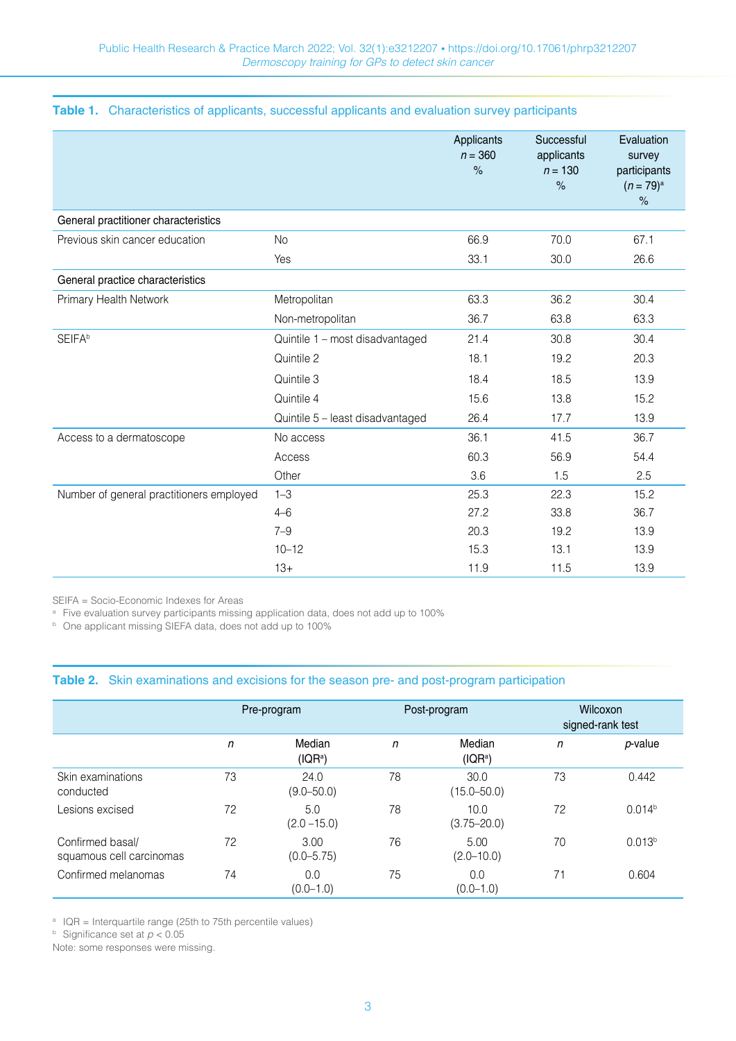|  |  |  |  |  |  | Table 1. Characteristics of applicants, successful applicants and evaluation survey participants |  |
|--|--|--|--|--|--|--------------------------------------------------------------------------------------------------|--|
|--|--|--|--|--|--|--------------------------------------------------------------------------------------------------|--|

|                                          |                                  | Applicants<br>$n = 360$<br>$\%$ | Successful<br>applicants<br>$n = 130$<br>$\frac{1}{6}$ | Evaluation<br>survey<br>participants<br>$(n = 79)^{a}$<br>$\%$ |
|------------------------------------------|----------------------------------|---------------------------------|--------------------------------------------------------|----------------------------------------------------------------|
| General practitioner characteristics     |                                  |                                 |                                                        |                                                                |
| Previous skin cancer education           | <b>No</b>                        | 66.9                            | 70.0                                                   | 67.1                                                           |
|                                          | Yes                              | 33.1                            | 30.0                                                   | 26.6                                                           |
| General practice characteristics         |                                  |                                 |                                                        |                                                                |
| Primary Health Network                   | Metropolitan                     | 63.3                            | 36.2                                                   | 30.4                                                           |
|                                          | Non-metropolitan                 | 36.7                            | 63.8                                                   | 63.3                                                           |
| <b>SEIFA</b> b                           | Quintile 1 - most disadvantaged  | 21.4                            | 30.8                                                   | 30.4                                                           |
|                                          | Quintile 2                       | 18.1                            | 19.2                                                   | 20.3                                                           |
|                                          | Quintile 3                       | 18.4                            | 18.5                                                   | 13.9                                                           |
|                                          | Quintile 4                       | 15.6                            | 13.8                                                   | 15.2                                                           |
|                                          | Quintile 5 - least disadvantaged | 26.4                            | 17.7                                                   | 13.9                                                           |
| Access to a dermatoscope                 | No access                        | 36.1                            | 41.5                                                   | 36.7                                                           |
|                                          | Access                           | 60.3                            | 56.9                                                   | 54.4                                                           |
|                                          | Other                            | 3.6                             | 1.5                                                    | 2.5                                                            |
| Number of general practitioners employed | $1 - 3$                          | 25.3                            | 22.3                                                   | 15.2                                                           |
|                                          | $4 - 6$                          | 27.2                            | 33.8                                                   | 36.7                                                           |
|                                          | $7 - 9$                          | 20.3                            | 19.2                                                   | 13.9                                                           |
|                                          | $10 - 12$                        | 15.3                            | 13.1                                                   | 13.9                                                           |
|                                          | $13+$                            | 11.9                            | 11.5                                                   | 13.9                                                           |

SEIFA = Socio-Economic Indexes for Areas

<sup>a</sup> Five evaluation survey participants missing application data, does not add up to 100%

<sup>b</sup> One applicant missing SIEFA data, does not add up to 100%

#### **Table 2.** Skin examinations and excisions for the season pre- and post-program participation

|                                              | Pre-program |                                | Post-program |                                | <b>Wilcoxon</b><br>signed-rank test |                    |
|----------------------------------------------|-------------|--------------------------------|--------------|--------------------------------|-------------------------------------|--------------------|
|                                              | n           | Median<br>( IQR <sup>a</sup> ) | n            | Median<br>( IQR <sup>a</sup> ) | $\mathsf{n}$                        | $p$ -value         |
| Skin examinations<br>conducted               | 73          | 24.0<br>$(9.0 - 50.0)$         | 78           | 30.0<br>$(15.0 - 50.0)$        | 73                                  | 0.442              |
| Lesions excised                              | 72          | 5.0<br>$(2.0 - 15.0)$          | 78           | 10.0<br>$(3.75 - 20.0)$        | 72                                  | 0.014 <sup>b</sup> |
| Confirmed basal/<br>squamous cell carcinomas | 72          | 3.00<br>$(0.0 - 5.75)$         | 76           | 5.00<br>$(2.0 - 10.0)$         | 70                                  | 0.013 <sup>b</sup> |
| Confirmed melanomas                          | 74          | 0.0<br>$(0.0 - 1.0)$           | 75           | 0.0<br>$(0.0 - 1.0)$           | 71                                  | 0.604              |

 $^{\circ}$  IQR = Interquartile range (25th to 75th percentile values)

**b** Significance set at  $p < 0.05$ 

Note: some responses were missing.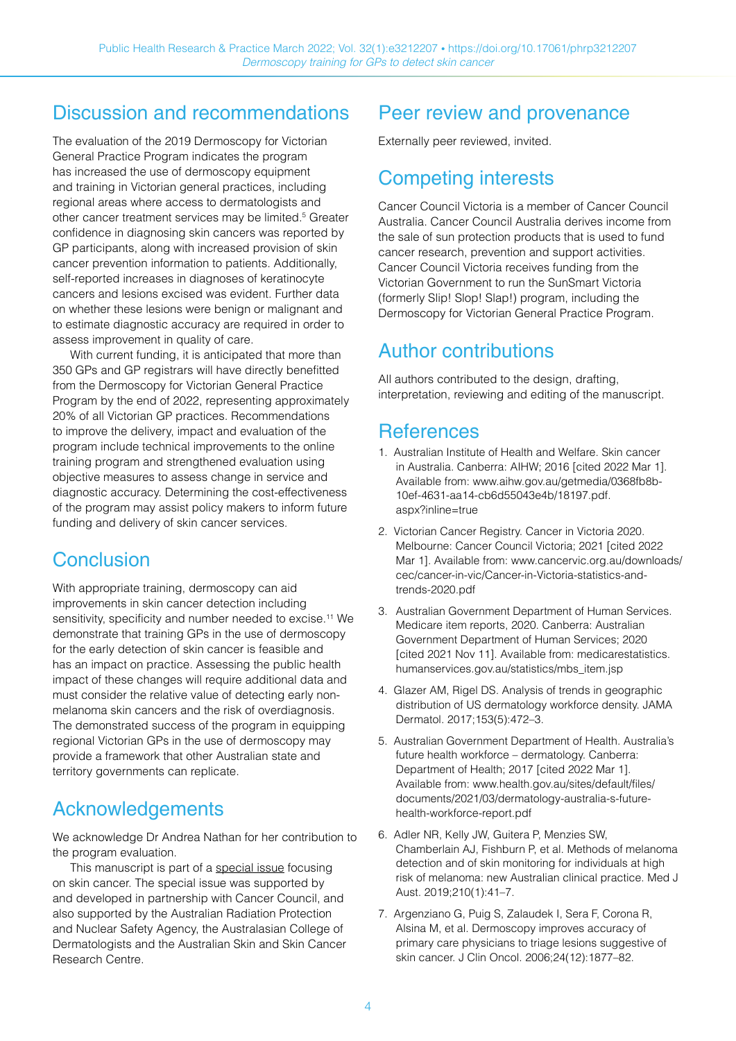#### Discussion and recommendations

The evaluation of the 2019 Dermoscopy for Victorian General Practice Program indicates the program has increased the use of dermoscopy equipment and training in Victorian general practices, including regional areas where access to dermatologists and other cancer treatment services may be limited.<sup>5</sup> Greater confidence in diagnosing skin cancers was reported by GP participants, along with increased provision of skin cancer prevention information to patients. Additionally, self-reported increases in diagnoses of keratinocyte cancers and lesions excised was evident. Further data on whether these lesions were benign or malignant and to estimate diagnostic accuracy are required in order to assess improvement in quality of care.

With current funding, it is anticipated that more than 350 GPs and GP registrars will have directly benefitted from the Dermoscopy for Victorian General Practice Program by the end of 2022, representing approximately 20% of all Victorian GP practices. Recommendations to improve the delivery, impact and evaluation of the program include technical improvements to the online training program and strengthened evaluation using objective measures to assess change in service and diagnostic accuracy. Determining the cost-effectiveness of the program may assist policy makers to inform future funding and delivery of skin cancer services.

## **Conclusion**

With appropriate training, dermoscopy can aid improvements in skin cancer detection including sensitivity, specificity and number needed to excise.<sup>11</sup> We demonstrate that training GPs in the use of dermoscopy for the early detection of skin cancer is feasible and has an impact on practice. Assessing the public health impact of these changes will require additional data and must consider the relative value of detecting early nonmelanoma skin cancers and the risk of overdiagnosis. The demonstrated success of the program in equipping regional Victorian GPs in the use of dermoscopy may provide a framework that other Australian state and territory governments can replicate.

## Acknowledgements

We acknowledge Dr Andrea Nathan for her contribution to the program evaluation.

This manuscript is part of a [special issue](https://www.phrp.com.au/issues/march-2022-volume-32-issue-1) focusing on skin cancer. The special issue was supported by and developed in partnership with Cancer Council, and also supported by the Australian Radiation Protection and Nuclear Safety Agency, the Australasian College of Dermatologists and the Australian Skin and Skin Cancer Research Centre.

# Peer review and provenance

Externally peer reviewed, invited.

## Competing interests

Cancer Council Victoria is a member of Cancer Council Australia. Cancer Council Australia derives income from the sale of sun protection products that is used to fund cancer research, prevention and support activities. Cancer Council Victoria receives funding from the Victorian Government to run the SunSmart Victoria (formerly Slip! Slop! Slap!) program, including the Dermoscopy for Victorian General Practice Program.

#### Author contributions

All authors contributed to the design, drafting, interpretation, reviewing and editing of the manuscript.

#### **References**

- 1. Australian Institute of Health and Welfare. Skin cancer in Australia. Canberra: AIHW; 2016 [cited 2022 Mar 1]. Available from: [www.aihw.gov.au/getmedia/0368fb8b-](http://www.aihw.gov.au/getmedia/0368fb8b-10ef-4631-aa14-cb6d55043e4b/18197.pdf.aspx?inline=true)[10ef-4631-aa14-cb6d55043e4b/18197.pdf.](http://www.aihw.gov.au/getmedia/0368fb8b-10ef-4631-aa14-cb6d55043e4b/18197.pdf.aspx?inline=true) [aspx?inline=true](http://www.aihw.gov.au/getmedia/0368fb8b-10ef-4631-aa14-cb6d55043e4b/18197.pdf.aspx?inline=true)
- 2. Victorian Cancer Registry. Cancer in Victoria 2020. Melbourne: Cancer Council Victoria; 2021 [cited 2022 Mar 1]. Available from: [www.cancervic.org.au/downloads/](http://www.cancervic.org.au/downloads/cec/cancer-in-vic/Cancer-in-Victoria-statistics-and-trends-2020.pdf) [cec/cancer-in-vic/Cancer-in-Victoria-statistics-and](http://www.cancervic.org.au/downloads/cec/cancer-in-vic/Cancer-in-Victoria-statistics-and-trends-2020.pdf)[trends-2020.pdf](http://www.cancervic.org.au/downloads/cec/cancer-in-vic/Cancer-in-Victoria-statistics-and-trends-2020.pdf)
- 3. Australian Government Department of Human Services. Medicare item reports, 2020. Canberra: Australian Government Department of Human Services; 2020 [cited 2021 Nov 11]. Available from: [medicarestatistics.](http://medicarestatistics.humanservices.gov.au/statistics/mbs_item.jsp) [humanservices.gov.au/statistics/mbs\\_item.jsp](http://medicarestatistics.humanservices.gov.au/statistics/mbs_item.jsp)
- 4. Glazer AM, Rigel DS. Analysis of trends in geographic distribution of US dermatology workforce density. JAMA Dermatol. 2017;153(5):472–3.
- 5. Australian Government Department of Health. Australia's future health workforce – dermatology. Canberra: Department of Health; 2017 [cited 2022 Mar 1]. Available from: [www.health.gov.au/sites/default/files/](http://www.health.gov.au/sites/default/files/documents/2021/03/dermatology-australia-s-future-health-workforce-report.pdf) [documents/2021/03/dermatology-australia-s-future](http://www.health.gov.au/sites/default/files/documents/2021/03/dermatology-australia-s-future-health-workforce-report.pdf)[health-workforce-report.pdf](http://www.health.gov.au/sites/default/files/documents/2021/03/dermatology-australia-s-future-health-workforce-report.pdf)
- 6. Adler NR, Kelly JW, Guitera P, Menzies SW, Chamberlain AJ, Fishburn P, et al. Methods of melanoma detection and of skin monitoring for individuals at high risk of melanoma: new Australian clinical practice. Med J Aust. 2019;210(1):41–7.
- 7. Argenziano G, Puig S, Zalaudek I, Sera F, Corona R, Alsina M, et al. Dermoscopy improves accuracy of primary care physicians to triage lesions suggestive of skin cancer. J Clin Oncol. 2006;24(12):1877–82.